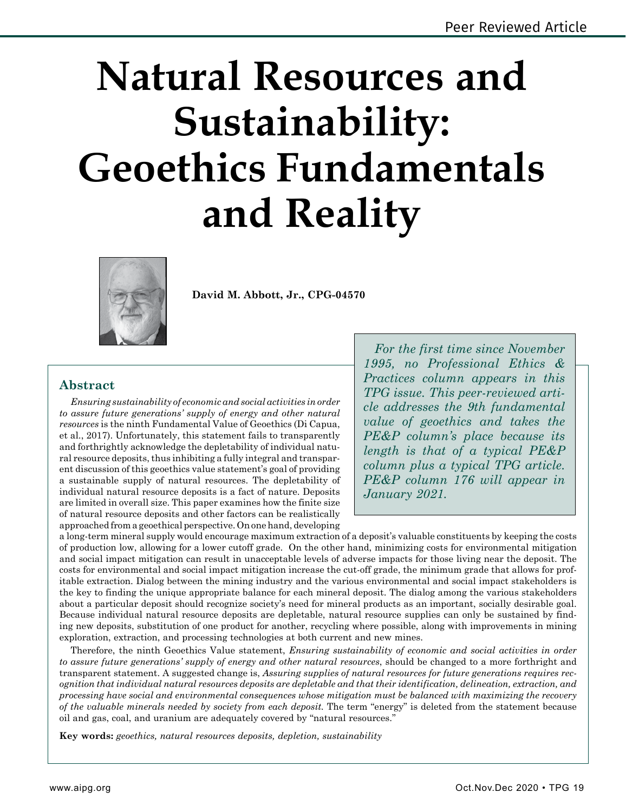# **Natural Resources and Sustainability: Geoethics Fundamentals and Reality**



**David M. Abbott, Jr., CPG-04570**

## **Abstract**

*Ensuring sustainability of economic and social activities in order to assure future generations' supply of energy and other natural resources* is the ninth Fundamental Value of Geoethics (Di Capua, et al., 2017). Unfortunately, this statement fails to transparently and forthrightly acknowledge the depletability of individual natural resource deposits, thus inhibiting a fully integral and transparent discussion of this geoethics value statement's goal of providing a sustainable supply of natural resources. The depletability of individual natural resource deposits is a fact of nature. Deposits are limited in overall size. This paper examines how the finite size of natural resource deposits and other factors can be realistically approached from a geoethical perspective. On one hand, developing

*For the first time since November 1995, no Professional Ethics & Practices column appears in this TPG issue. This peer-reviewed article addresses the 9th fundamental value of geoethics and takes the PE&P column's place because its length is that of a typical PE&P column plus a typical TPG article. PE&P column 176 will appear in January 2021.*

a long-term mineral supply would encourage maximum extraction of a deposit's valuable constituents by keeping the costs of production low, allowing for a lower cutoff grade. On the other hand, minimizing costs for environmental mitigation and social impact mitigation can result in unacceptable levels of adverse impacts for those living near the deposit. The costs for environmental and social impact mitigation increase the cut-off grade, the minimum grade that allows for profitable extraction. Dialog between the mining industry and the various environmental and social impact stakeholders is the key to finding the unique appropriate balance for each mineral deposit. The dialog among the various stakeholders about a particular deposit should recognize society's need for mineral products as an important, socially desirable goal. Because individual natural resource deposits are depletable, natural resource supplies can only be sustained by finding new deposits, substitution of one product for another, recycling where possible, along with improvements in mining exploration, extraction, and processing technologies at both current and new mines.

Therefore, the ninth Geoethics Value statement, *Ensuring sustainability of economic and social activities in order to assure future generations' supply of energy and other natural resources*, should be changed to a more forthright and transparent statement. A suggested change is, *Assuring supplies of natural resources for future generations requires recognition that individual natural resources deposits are depletable and that their identification, delineation, extraction, and processing have social and environmental consequences whose mitigation must be balanced with maximizing the recovery of the valuable minerals needed by society from each deposit.* The term "energy" is deleted from the statement because oil and gas, coal, and uranium are adequately covered by "natural resources."

**Key words:** *geoethics, natural resources deposits, depletion, sustainability*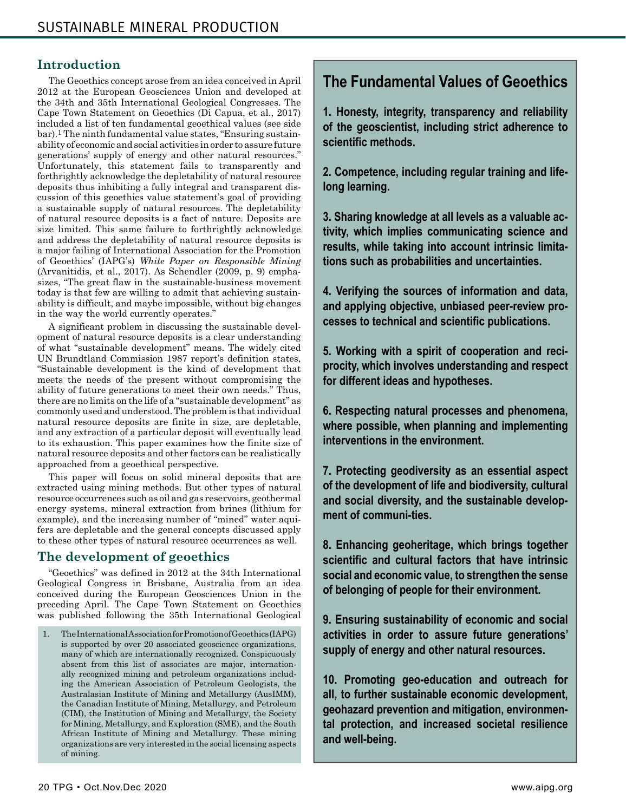#### **Introduction**

The Geoethics concept arose from an idea conceived in April 2012 at the European Geosciences Union and developed at the 34th and 35th International Geological Congresses. The Cape Town Statement on Geoethics (Di Capua, et al., 2017) included a list of ten fundamental geoethical values (see side bar).1 The ninth fundamental value states, "Ensuring sustainability of economic and social activities in order to assure future generations' supply of energy and other natural resources." Unfortunately, this statement fails to transparently and forthrightly acknowledge the depletability of natural resource deposits thus inhibiting a fully integral and transparent discussion of this geoethics value statement's goal of providing a sustainable supply of natural resources. The depletability of natural resource deposits is a fact of nature. Deposits are size limited. This same failure to forthrightly acknowledge and address the depletability of natural resource deposits is a major failing of International Association for the Promotion of Geoethics' (IAPG's) *White Paper on Responsible Mining*  (Arvanitidis, et al., 2017). As Schendler (2009, p. 9) emphasizes, "The great flaw in the sustainable-business movement today is that few are willing to admit that achieving sustainability is difficult, and maybe impossible, without big changes in the way the world currently operates."

A significant problem in discussing the sustainable development of natural resource deposits is a clear understanding of what "sustainable development" means. The widely cited UN Brundtland Commission 1987 report's definition states, "Sustainable development is the kind of development that meets the needs of the present without compromising the ability of future generations to meet their own needs." Thus, there are no limits on the life of a "sustainable development" as commonly used and understood. The problem is that individual natural resource deposits are finite in size, are depletable, and any extraction of a particular deposit will eventually lead to its exhaustion. This paper examines how the finite size of natural resource deposits and other factors can be realistically approached from a geoethical perspective.

This paper will focus on solid mineral deposits that are extracted using mining methods. But other types of natural resource occurrences such as oil and gas reservoirs, geothermal energy systems, mineral extraction from brines (lithium for example), and the increasing number of "mined" water aquifers are depletable and the general concepts discussed apply to these other types of natural resource occurrences as well.

## **The development of geoethics**

"Geoethics" was defined in 2012 at the 34th International Geological Congress in Brisbane, Australia from an idea conceived during the European Geosciences Union in the preceding April. The Cape Town Statement on Geoethics was published following the 35th International Geological

1. The International Association for Promotion of Geoethics (IAPG) is supported by over 20 associated geoscience organizations, many of which are internationally recognized. Conspicuously absent from this list of associates are major, internationally recognized mining and petroleum organizations including the American Association of Petroleum Geologists, the Australasian Institute of Mining and Metallurgy (AusIMM), the Canadian Institute of Mining, Metallurgy, and Petroleum (CIM), the Institution of Mining and Metallurgy, the Society for Mining, Metallurgy, and Exploration (SME), and the South African Institute of Mining and Metallurgy. These mining organizations are very interested in the social licensing aspects of mining.

## **The Fundamental Values of Geoethics**

**1. Honesty, integrity, transparency and reliability of the geoscientist, including strict adherence to scientific methods.**

**2. Competence, including regular training and lifelong learning.**

**3. Sharing knowledge at all levels as a valuable activity, which implies communicating science and results, while taking into account intrinsic limitations such as probabilities and uncertainties.**

**4. Verifying the sources of information and data, and applying objective, unbiased peer-review processes to technical and scientific publications.**

**5. Working with a spirit of cooperation and reciprocity, which involves understanding and respect for different ideas and hypotheses.**

**6. Respecting natural processes and phenomena, where possible, when planning and implementing interventions in the environment.**

**7. Protecting geodiversity as an essential aspect of the development of life and biodiversity, cultural and social diversity, and the sustainable development of communi-ties.**

**8. Enhancing geoheritage, which brings together scientific and cultural factors that have intrinsic social and economic value, to strengthen the sense of belonging of people for their environment.**

**9. Ensuring sustainability of economic and social activities in order to assure future generations' supply of energy and other natural resources.**

**10. Promoting geo-education and outreach for all, to further sustainable economic development, geohazard prevention and mitigation, environmental protection, and increased societal resilience and well-being.**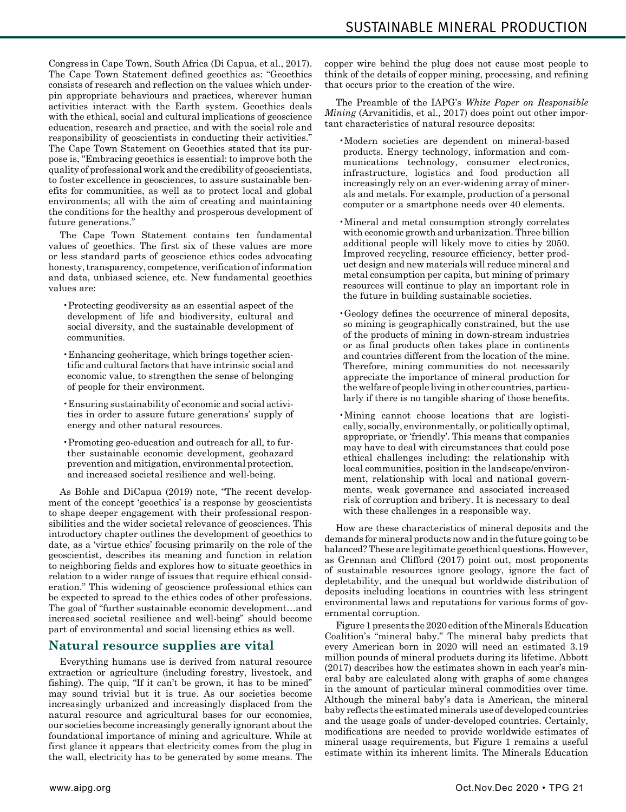Congress in Cape Town, South Africa (Di Capua, et al., 2017). The Cape Town Statement defined geoethics as: "Geoethics consists of research and reflection on the values which underpin appropriate behaviours and practices, wherever human activities interact with the Earth system. Geoethics deals with the ethical, social and cultural implications of geoscience education, research and practice, and with the social role and responsibility of geoscientists in conducting their activities." The Cape Town Statement on Geoethics stated that its purpose is, "Embracing geoethics is essential: to improve both the quality of professional work and the credibility of geoscientists, to foster excellence in geosciences, to assure sustainable benefits for communities, as well as to protect local and global environments; all with the aim of creating and maintaining the conditions for the healthy and prosperous development of future generations."

The Cape Town Statement contains ten fundamental values of geoethics. The first six of these values are more or less standard parts of geoscience ethics codes advocating honesty, transparency, competence, verification of information and data, unbiased science, etc. New fundamental geoethics values are:

- •Protecting geodiversity as an essential aspect of the development of life and biodiversity, cultural and social diversity, and the sustainable development of communities.
- •Enhancing geoheritage, which brings together scientific and cultural factors that have intrinsic social and economic value, to strengthen the sense of belonging of people for their environment.
- •Ensuring sustainability of economic and social activities in order to assure future generations' supply of energy and other natural resources.
- •Promoting geo-education and outreach for all, to further sustainable economic development, geohazard prevention and mitigation, environmental protection, and increased societal resilience and well-being.

As Bohle and DiCapua (2019) note, "The recent development of the concept 'geoethics' is a response by geoscientists to shape deeper engagement with their professional responsibilities and the wider societal relevance of geosciences. This introductory chapter outlines the development of geoethics to date, as a 'virtue ethics' focusing primarily on the role of the geoscientist, describes its meaning and function in relation to neighboring fields and explores how to situate geoethics in relation to a wider range of issues that require ethical consideration." This widening of geoscience professional ethics can be expected to spread to the ethics codes of other professions. The goal of "further sustainable economic development…and increased societal resilience and well-being" should become part of environmental and social licensing ethics as well.

#### **Natural resource supplies are vital**

Everything humans use is derived from natural resource extraction or agriculture (including forestry, livestock, and fishing). The quip, "If it can't be grown, it has to be mined" may sound trivial but it is true. As our societies become increasingly urbanized and increasingly displaced from the natural resource and agricultural bases for our economies, our societies become increasingly generally ignorant about the foundational importance of mining and agriculture. While at first glance it appears that electricity comes from the plug in the wall, electricity has to be generated by some means. The copper wire behind the plug does not cause most people to think of the details of copper mining, processing, and refining that occurs prior to the creation of the wire.

The Preamble of the IAPG's *White Paper on Responsible Mining* (Arvanitidis, et al., 2017) does point out other important characteristics of natural resource deposits:

- •Modern societies are dependent on mineral-based products. Energy technology, information and communications technology, consumer electronics, infrastructure, logistics and food production all increasingly rely on an ever-widening array of minerals and metals. For example, production of a personal computer or a smartphone needs over 40 elements.
- •Mineral and metal consumption strongly correlates with economic growth and urbanization. Three billion additional people will likely move to cities by 2050. Improved recycling, resource efficiency, better product design and new materials will reduce mineral and metal consumption per capita, but mining of primary resources will continue to play an important role in the future in building sustainable societies.
- •Geology defines the occurrence of mineral deposits, so mining is geographically constrained, but the use of the products of mining in down-stream industries or as final products often takes place in continents and countries different from the location of the mine. Therefore, mining communities do not necessarily appreciate the importance of mineral production for the welfare of people living in other countries, particularly if there is no tangible sharing of those benefits.
- •Mining cannot choose locations that are logistically, socially, environmentally, or politically optimal, appropriate, or 'friendly'. This means that companies may have to deal with circumstances that could pose ethical challenges including: the relationship with local communities, position in the landscape/environment, relationship with local and national governments, weak governance and associated increased risk of corruption and bribery. It is necessary to deal with these challenges in a responsible way.

How are these characteristics of mineral deposits and the demands for mineral products now and in the future going to be balanced? These are legitimate geoethical questions. However, as Grennan and Clifford (2017) point out, most proponents of sustainable resources ignore geology, ignore the fact of depletability, and the unequal but worldwide distribution of deposits including locations in countries with less stringent environmental laws and reputations for various forms of governmental corruption.

Figure 1 presents the 2020 edition of the Minerals Education Coalition's "mineral baby." The mineral baby predicts that every American born in 2020 will need an estimated 3.19 million pounds of mineral products during its lifetime. Abbott (2017) describes how the estimates shown in each year's mineral baby are calculated along with graphs of some changes in the amount of particular mineral commodities over time. Although the mineral baby's data is American, the mineral baby reflects the estimated minerals use of developed countries and the usage goals of under-developed countries. Certainly, modifications are needed to provide worldwide estimates of mineral usage requirements, but Figure 1 remains a useful estimate within its inherent limits. The Minerals Education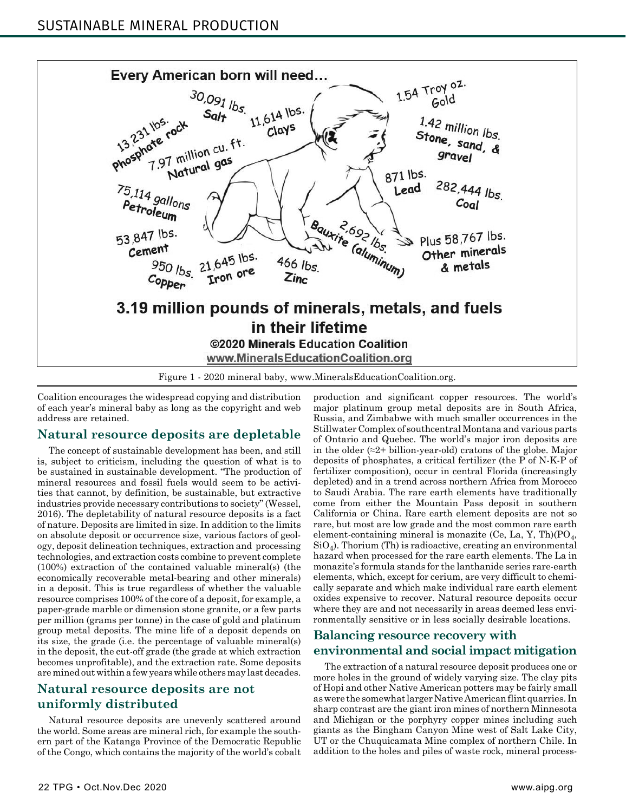

Figure 1 - 2020 mineral baby, www.MineralsEducationCoalition.org.

Coalition encourages the widespread copying and distribution of each year's mineral baby as long as the copyright and web address are retained.

#### **Natural resource deposits are depletable**

The concept of sustainable development has been, and still is, subject to criticism, including the question of what is to be sustained in sustainable development. "The production of mineral resources and fossil fuels would seem to be activities that cannot, by definition, be sustainable, but extractive industries provide necessary contributions to society" (Wessel, 2016). The depletability of natural resource deposits is a fact of nature. Deposits are limited in size. In addition to the limits on absolute deposit or occurrence size, various factors of geology, deposit delineation techniques, extraction and processing technologies, and extraction costs combine to prevent complete (100%) extraction of the contained valuable mineral(s) (the economically recoverable metal-bearing and other minerals) in a deposit. This is true regardless of whether the valuable resource comprises 100% of the core of a deposit, for example, a paper-grade marble or dimension stone granite, or a few parts per million (grams per tonne) in the case of gold and platinum group metal deposits. The mine life of a deposit depends on its size, the grade (i.e. the percentage of valuable mineral(s) in the deposit, the cut-off grade (the grade at which extraction becomes unprofitable), and the extraction rate. Some deposits are mined out within a few years while others may last decades.

## **Natural resource deposits are not uniformly distributed**

Natural resource deposits are unevenly scattered around the world. Some areas are mineral rich, for example the southern part of the Katanga Province of the Democratic Republic of the Congo, which contains the majority of the world's cobalt production and significant copper resources. The world's major platinum group metal deposits are in South Africa, Russia, and Zimbabwe with much smaller occurrences in the Stillwater Complex of southcentral Montana and various parts of Ontario and Quebec. The world's major iron deposits are in the older  $(\approx 2+)$  billion-year-old) cratons of the globe. Major deposits of phosphates, a critical fertilizer (the P of N-K-P of fertilizer composition), occur in central Florida (increasingly depleted) and in a trend across northern Africa from Morocco to Saudi Arabia. The rare earth elements have traditionally come from either the Mountain Pass deposit in southern California or China. Rare earth element deposits are not so rare, but most are low grade and the most common rare earth element-containing mineral is monazite (Ce, La, Y, Th) $(PO<sub>4</sub>,$  $SiO<sub>4</sub>$ ). Thorium (Th) is radioactive, creating an environmental hazard when processed for the rare earth elements. The La in monazite's formula stands for the lanthanide series rare-earth elements, which, except for cerium, are very difficult to chemically separate and which make individual rare earth element oxides expensive to recover. Natural resource deposits occur where they are and not necessarily in areas deemed less environmentally sensitive or in less socially desirable locations.

#### **Balancing resource recovery with environmental and social impact mitigation**

The extraction of a natural resource deposit produces one or more holes in the ground of widely varying size. The clay pits of Hopi and other Native American potters may be fairly small as were the somewhat larger Native American flint quarries. In sharp contrast are the giant iron mines of northern Minnesota and Michigan or the porphyry copper mines including such giants as the Bingham Canyon Mine west of Salt Lake City, UT or the Chuquicamata Mine complex of northern Chile. In addition to the holes and piles of waste rock, mineral process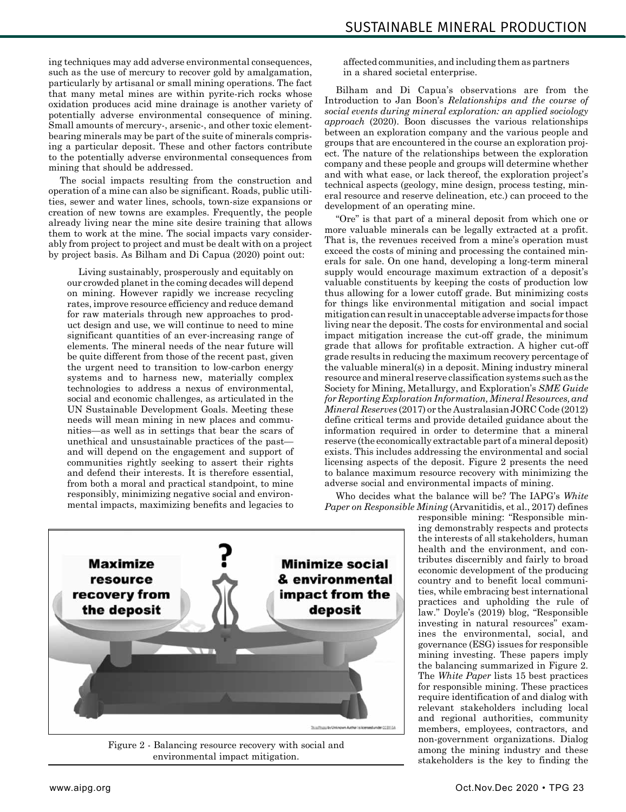ing techniques may add adverse environmental consequences, such as the use of mercury to recover gold by amalgamation, particularly by artisanal or small mining operations. The fact that many metal mines are within pyrite-rich rocks whose oxidation produces acid mine drainage is another variety of potentially adverse environmental consequence of mining. Small amounts of mercury-, arsenic-, and other toxic elementbearing minerals may be part of the suite of minerals comprising a particular deposit. These and other factors contribute to the potentially adverse environmental consequences from mining that should be addressed.

The social impacts resulting from the construction and operation of a mine can also be significant. Roads, public utilities, sewer and water lines, schools, town-size expansions or creation of new towns are examples. Frequently, the people already living near the mine site desire training that allows them to work at the mine. The social impacts vary considerably from project to project and must be dealt with on a project by project basis. As Bilham and Di Capua (2020) point out:

Living sustainably, prosperously and equitably on our crowded planet in the coming decades will depend on mining. However rapidly we increase recycling rates, improve resource efficiency and reduce demand for raw materials through new approaches to product design and use, we will continue to need to mine significant quantities of an ever-increasing range of elements. The mineral needs of the near future will be quite different from those of the recent past, given the urgent need to transition to low-carbon energy systems and to harness new, materially complex technologies to address a nexus of environmental, social and economic challenges, as articulated in the UN Sustainable Development Goals. Meeting these needs will mean mining in new places and communities—as well as in settings that bear the scars of unethical and unsustainable practices of the past and will depend on the engagement and support of communities rightly seeking to assert their rights and defend their interests. It is therefore essential, from both a moral and practical standpoint, to mine responsibly, minimizing negative social and environmental impacts, maximizing benefits and legacies to

affected communities, and including them as partners in a shared societal enterprise.

Bilham and Di Capua's observations are from the Introduction to Jan Boon's *Relationships and the course of social events during mineral exploration: an applied sociology approach* (2020). Boon discusses the various relationships between an exploration company and the various people and groups that are encountered in the course an exploration project. The nature of the relationships between the exploration company and these people and groups will determine whether and with what ease, or lack thereof, the exploration project's technical aspects (geology, mine design, process testing, mineral resource and reserve delineation, etc.) can proceed to the development of an operating mine.

"Ore" is that part of a mineral deposit from which one or more valuable minerals can be legally extracted at a profit. That is, the revenues received from a mine's operation must exceed the costs of mining and processing the contained minerals for sale. On one hand, developing a long-term mineral supply would encourage maximum extraction of a deposit's valuable constituents by keeping the costs of production low thus allowing for a lower cutoff grade. But minimizing costs for things like environmental mitigation and social impact mitigation can result in unacceptable adverse impacts for those living near the deposit. The costs for environmental and social impact mitigation increase the cut-off grade, the minimum grade that allows for profitable extraction. A higher cut-off grade results in reducing the maximum recovery percentage of the valuable mineral(s) in a deposit. Mining industry mineral resource and mineral reserve classification systems such as the Society for Mining, Metallurgy, and Exploration's *SME Guide for Reporting Exploration Information, Mineral Resources, and Mineral Reserves* (2017) or the Australasian JORC Code (2012) define critical terms and provide detailed guidance about the information required in order to determine that a mineral reserve (the economically extractable part of a mineral deposit) exists. This includes addressing the environmental and social licensing aspects of the deposit. Figure 2 presents the need to balance maximum resource recovery with minimizing the adverse social and environmental impacts of mining.

Who decides what the balance will be? The IAPG's *White Paper on Responsible Mining* (Arvanitidis, et al., 2017) defines

responsible mining: "Responsible mining demonstrably respects and protects the interests of all stakeholders, human health and the environment, and contributes discernibly and fairly to broad economic development of the producing country and to benefit local communities, while embracing best international practices and upholding the rule of law." Doyle's (2019) blog, "Responsible investing in natural resources" examines the environmental, social, and governance (ESG) issues for responsible mining investing. These papers imply the balancing summarized in Figure 2. The *White Paper* lists 15 best practices for responsible mining. These practices require identification of and dialog with relevant stakeholders including local and regional authorities, community members, employees, contractors, and non-government organizations. Dialog among the mining industry and these stakeholders is the key to finding the



Figure 2 - Balancing resource recovery with social and environmental impact mitigation.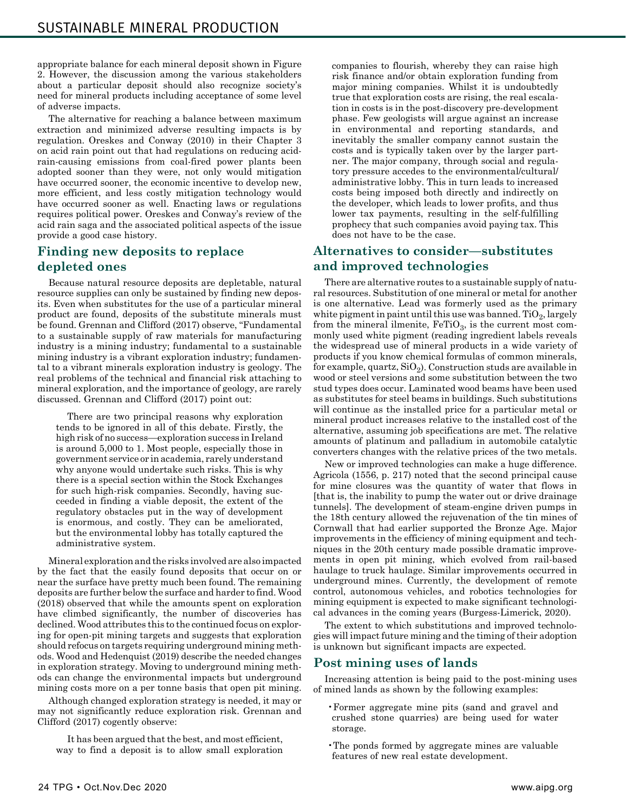appropriate balance for each mineral deposit shown in Figure 2. However, the discussion among the various stakeholders about a particular deposit should also recognize society's need for mineral products including acceptance of some level of adverse impacts.

The alternative for reaching a balance between maximum extraction and minimized adverse resulting impacts is by regulation. Oreskes and Conway (2010) in their Chapter 3 on acid rain point out that had regulations on reducing acidrain-causing emissions from coal-fired power plants been adopted sooner than they were, not only would mitigation have occurred sooner, the economic incentive to develop new, more efficient, and less costly mitigation technology would have occurred sooner as well. Enacting laws or regulations requires political power. Oreskes and Conway's review of the acid rain saga and the associated political aspects of the issue provide a good case history.

## **Finding new deposits to replace depleted ones**

Because natural resource deposits are depletable, natural resource supplies can only be sustained by finding new deposits. Even when substitutes for the use of a particular mineral product are found, deposits of the substitute minerals must be found. Grennan and Clifford (2017) observe, "Fundamental to a sustainable supply of raw materials for manufacturing industry is a mining industry; fundamental to a sustainable mining industry is a vibrant exploration industry; fundamental to a vibrant minerals exploration industry is geology. The real problems of the technical and financial risk attaching to mineral exploration, and the importance of geology, are rarely discussed. Grennan and Clifford (2017) point out:

There are two principal reasons why exploration tends to be ignored in all of this debate. Firstly, the high risk of no success—exploration success in Ireland is around 5,000 to 1. Most people, especially those in government service or in academia, rarely understand why anyone would undertake such risks. This is why there is a special section within the Stock Exchanges for such high-risk companies. Secondly, having succeeded in finding a viable deposit, the extent of the regulatory obstacles put in the way of development is enormous, and costly. They can be ameliorated, but the environmental lobby has totally captured the administrative system.

Mineral exploration and the risks involved are also impacted by the fact that the easily found deposits that occur on or near the surface have pretty much been found. The remaining deposits are further below the surface and harder to find. Wood (2018) observed that while the amounts spent on exploration have climbed significantly, the number of discoveries has declined. Wood attributes this to the continued focus on exploring for open-pit mining targets and suggests that exploration should refocus on targets requiring underground mining methods. Wood and Hedenquist (2019) describe the needed changes in exploration strategy. Moving to underground mining methods can change the environmental impacts but underground mining costs more on a per tonne basis that open pit mining.

Although changed exploration strategy is needed, it may or may not significantly reduce exploration risk. Grennan and Clifford (2017) cogently observe:

It has been argued that the best, and most efficient, way to find a deposit is to allow small exploration companies to flourish, whereby they can raise high risk finance and/or obtain exploration funding from major mining companies. Whilst it is undoubtedly true that exploration costs are rising, the real escalation in costs is in the post-discovery pre-development phase. Few geologists will argue against an increase in environmental and reporting standards, and inevitably the smaller company cannot sustain the costs and is typically taken over by the larger partner. The major company, through social and regulatory pressure accedes to the environmental/cultural/ administrative lobby. This in turn leads to increased costs being imposed both directly and indirectly on the developer, which leads to lower profits, and thus lower tax payments, resulting in the self-fulfilling prophecy that such companies avoid paying tax. This does not have to be the case.

### **Alternatives to consider—substitutes and improved technologies**

There are alternative routes to a sustainable supply of natural resources. Substitution of one mineral or metal for another is one alternative. Lead was formerly used as the primary white pigment in paint until this use was banned.  $TiO<sub>2</sub>$ , largely from the mineral ilmenite,  $FeTiO<sub>3</sub>$ , is the current most commonly used white pigment (reading ingredient labels reveals the widespread use of mineral products in a wide variety of products if you know chemical formulas of common minerals, for example, quartz,  $SiO<sub>2</sub>$ ). Construction studs are available in wood or steel versions and some substitution between the two stud types does occur. Laminated wood beams have been used as substitutes for steel beams in buildings. Such substitutions will continue as the installed price for a particular metal or mineral product increases relative to the installed cost of the alternative, assuming job specifications are met. The relative amounts of platinum and palladium in automobile catalytic converters changes with the relative prices of the two metals.

New or improved technologies can make a huge difference. Agricola (1556, p. 217) noted that the second principal cause for mine closures was the quantity of water that flows in [that is, the inability to pump the water out or drive drainage tunnels]. The development of steam-engine driven pumps in the 18th century allowed the rejuvenation of the tin mines of Cornwall that had earlier supported the Bronze Age. Major improvements in the efficiency of mining equipment and techniques in the 20th century made possible dramatic improvements in open pit mining, which evolved from rail-based haulage to truck haulage. Similar improvements occurred in underground mines. Currently, the development of remote control, autonomous vehicles, and robotics technologies for mining equipment is expected to make significant technological advances in the coming years (Burgess-Limerick, 2020).

The extent to which substitutions and improved technologies will impact future mining and the timing of their adoption is unknown but significant impacts are expected.

#### **Post mining uses of lands**

Increasing attention is being paid to the post-mining uses of mined lands as shown by the following examples:

- •Former aggregate mine pits (sand and gravel and crushed stone quarries) are being used for water storage.
- •The ponds formed by aggregate mines are valuable features of new real estate development.